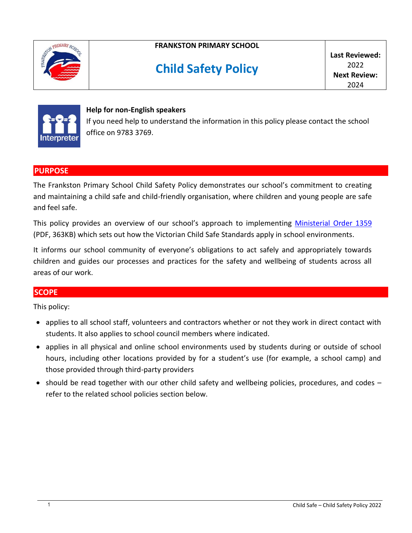

# **FRANKSTON PRIMARY SCHOOL**

# **Child Safety Policy**

**Last Reviewed:**  $2022$ **Next Review:** 2024



#### **Help for non-English speakers**

If you need help to understand the information in this policy please contact the school office on 9783 3769.

#### **PURPOSE**

The Frankston Primary School Child Safety Policy demonstrates our school's commitment to creating and maintaining a child safe and child-friendly organisation, where children and young people are safe and feel safe.

This policy provides an overview of our school's approach to implementing [Ministerial Order 1359](https://www.education.vic.gov.au/Documents/about/programs/health/protect/Ministerial_Order.pdf) (PDF, 363KB) which sets out how the Victorian Child Safe Standards apply in school environments.

It informs our school community of everyone's obligations to act safely and appropriately towards children and guides our processes and practices for the safety and wellbeing of students across all areas of our work.

## **SCOPE**

This policy:

- applies to all school staff, volunteers and contractors whether or not they work in direct contact with students. It also applies to school council members where indicated.
- applies in all physical and online school environments used by students during or outside of school hours, including other locations provided by for a student's use (for example, a school camp) and those provided through third-party providers
- should be read together with our other child safety and wellbeing policies, procedures, and codes refer to the related school policies section below.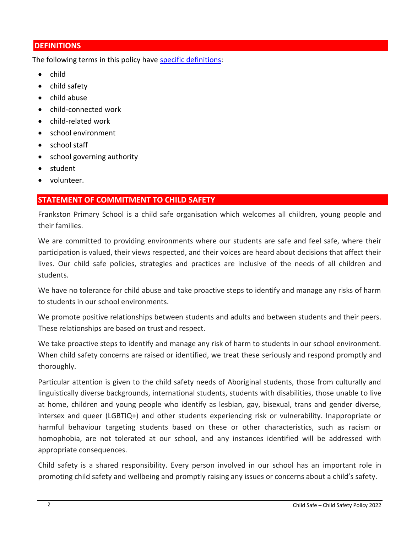# **DEFINITIONS**

The following terms in this policy have [specific definitions:](https://www.vic.gov.au/child-safe-standards-definitions)

- child
- child safety
- child abuse
- child-connected work
- child-related work
- school environment
- school staff
- school governing authority
- student
- volunteer.

# **STATEMENT OF COMMITMENT TO CHILD SAFETY**

Frankston Primary School is a child safe organisation which welcomes all children, young people and their families.

We are committed to providing environments where our students are safe and feel safe, where their participation is valued, their views respected, and their voices are heard about decisions that affect their lives. Our child safe policies, strategies and practices are inclusive of the needs of all children and students.

We have no tolerance for child abuse and take proactive steps to identify and manage any risks of harm to students in our school environments.

We promote positive relationships between students and adults and between students and their peers. These relationships are based on trust and respect.

We take proactive steps to identify and manage any risk of harm to students in our school environment. When child safety concerns are raised or identified, we treat these seriously and respond promptly and thoroughly.

Particular attention is given to the child safety needs of Aboriginal students, those from culturally and linguistically diverse backgrounds, international students, students with disabilities, those unable to live at home, children and young people who identify as lesbian, gay, bisexual, trans and gender diverse, intersex and queer (LGBTIQ+) and other students experiencing risk or vulnerability. Inappropriate or harmful behaviour targeting students based on these or other characteristics, such as racism or homophobia, are not tolerated at our school, and any instances identified will be addressed with appropriate consequences.

Child safety is a shared responsibility. Every person involved in our school has an important role in promoting child safety and wellbeing and promptly raising any issues or concerns about a child's safety.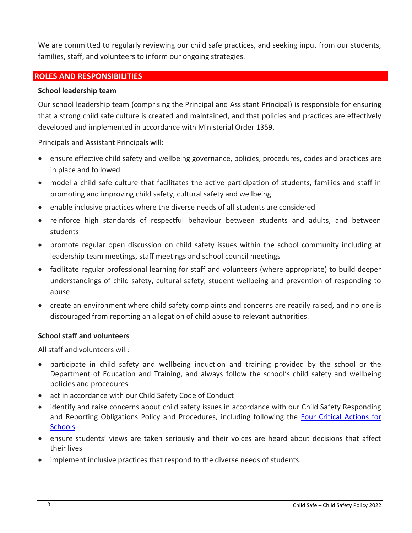We are committed to regularly reviewing our child safe practices, and seeking input from our students, families, staff, and volunteers to inform our ongoing strategies.

## **ROLES AND RESPONSIBILITIES**

#### **School leadership team**

Our school leadership team (comprising the Principal and Assistant Principal) is responsible for ensuring that a strong child safe culture is created and maintained, and that policies and practices are effectively developed and implemented in accordance with Ministerial Order 1359.

Principals and Assistant Principals will:

- ensure effective child safety and wellbeing governance, policies, procedures, codes and practices are in place and followed
- model a child safe culture that facilitates the active participation of students, families and staff in promoting and improving child safety, cultural safety and wellbeing
- enable inclusive practices where the diverse needs of all students are considered
- reinforce high standards of respectful behaviour between students and adults, and between students
- promote regular open discussion on child safety issues within the school community including at leadership team meetings, staff meetings and school council meetings
- facilitate regular professional learning for staff and volunteers (where appropriate) to build deeper understandings of child safety, cultural safety, student wellbeing and prevention of responding to abuse
- create an environment where child safety complaints and concerns are readily raised, and no one is discouraged from reporting an allegation of child abuse to relevant authorities.

## **School staff and volunteers**

All staff and volunteers will:

- participate in child safety and wellbeing induction and training provided by the school or the Department of Education and Training, and always follow the school's child safety and wellbeing policies and procedures
- act in accordance with our Child Safety Code of Conduct
- identify and raise concerns about child safety issues in accordance with our Child Safety Responding and Reporting Obligations Policy and Procedures, including following the [Four Critical Actions for](https://www.education.vic.gov.au/school/teachers/health/childprotection/Pages/report.aspx)  **[Schools](https://www.education.vic.gov.au/school/teachers/health/childprotection/Pages/report.aspx)**
- ensure students' views are taken seriously and their voices are heard about decisions that affect their lives
- implement inclusive practices that respond to the diverse needs of students.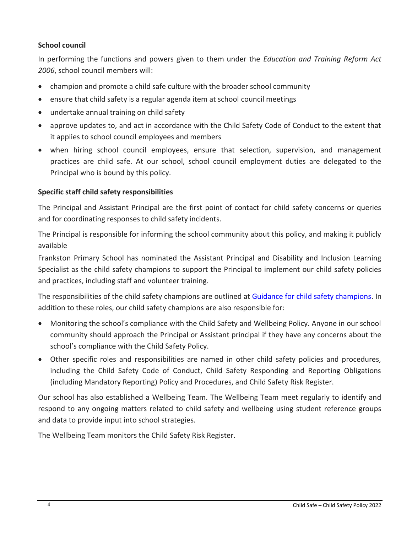# **School council**

In performing the functions and powers given to them under the *Education and Training Reform Act 2006*, school council members will:

- champion and promote a child safe culture with the broader school community
- ensure that child safety is a regular agenda item at school council meetings
- undertake annual training on child safety
- approve updates to, and act in accordance with the Child Safety Code of Conduct to the extent that it applies to school council employees and members
- when hiring school council employees, ensure that selection, supervision, and management practices are child safe. At our school, school council employment duties are delegated to the Principal who is bound by this policy.

# **Specific staff child safety responsibilities**

The Principal and Assistant Principal are the first point of contact for child safety concerns or queries and for coordinating responses to child safety incidents.

The Principal is responsible for informing the school community about this policy, and making it publicly available

Frankston Primary School has nominated the Assistant Principal and Disability and Inclusion Learning Specialist as the child safety champions to support the Principal to implement our child safety policies and practices, including staff and volunteer training.

The responsibilities of the child safety champions are outlined at [Guidance for child safety champions.](https://www.vic.gov.au/guidance-child-safety-champions) In addition to these roles, our child safety champions are also responsible for:

- Monitoring the school's compliance with the Child Safety and Wellbeing Policy. Anyone in our school community should approach the Principal or Assistant principal if they have any concerns about the school's compliance with the Child Safety Policy.
- Other specific roles and responsibilities are named in other child safety policies and procedures, including the Child Safety Code of Conduct, Child Safety Responding and Reporting Obligations (including Mandatory Reporting) Policy and Procedures, and Child Safety Risk Register.

Our school has also established a Wellbeing Team. The Wellbeing Team meet regularly to identify and respond to any ongoing matters related to child safety and wellbeing using student reference groups and data to provide input into school strategies.

The Wellbeing Team monitors the Child Safety Risk Register.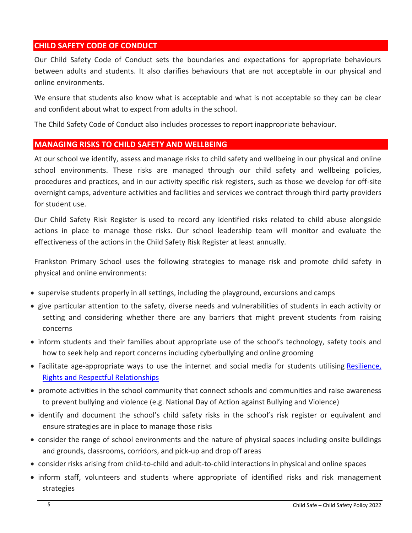# **CHILD SAFETY CODE OF CONDUCT**

Our Child Safety Code of Conduct sets the boundaries and expectations for appropriate behaviours between adults and students. It also clarifies behaviours that are not acceptable in our physical and online environments.

We ensure that students also know what is acceptable and what is not acceptable so they can be clear and confident about what to expect from adults in the school.

The Child Safety Code of Conduct also includes processes to report inappropriate behaviour.

## **MANAGING RISKS TO CHILD SAFETY AND WELLBEING**

At our school we identify, assess and manage risks to child safety and wellbeing in our physical and online school environments. These risks are managed through our child safety and wellbeing policies, procedures and practices, and in our activity specific risk registers, such as those we develop for off-site overnight camps, adventure activities and facilities and services we contract through third party providers for student use.

Our Child Safety Risk Register is used to record any identified risks related to child abuse alongside actions in place to manage those risks. Our school leadership team will monitor and evaluate the effectiveness of the actions in the Child Safety Risk Register at least annually.

Frankston Primary School uses the following strategies to manage risk and promote child safety in physical and online environments:

- supervise students properly in all settings, including the playground, excursions and camps
- give particular attention to the safety, diverse needs and vulnerabilities of students in each activity or setting and considering whether there are any barriers that might prevent students from raising concerns
- inform students and their families about appropriate use of the school's technology, safety tools and how to seek help and report concerns including cyberbullying and online grooming
- Facilitate age-appropriate ways to use the internet and social media for students utilising Resilience, [Rights and Respectful](https://fuse.education.vic.gov.au/ResourcePackage/ByPin?pin=2JZX4R) Relationships
- promote activities in the school community that connect schools and communities and raise awareness to prevent bullying and violence (e.g. National Day of Action against Bullying and Violence)
- identify and document the school's child safety risks in the school's risk register or equivalent and ensure strategies are in place to manage those risks
- consider the range of school environments and the nature of physical spaces including onsite buildings and grounds, classrooms, corridors, and pick-up and drop off areas
- consider risks arising from child-to-child and adult-to-child interactions in physical and online spaces
- inform staff, volunteers and students where appropriate of identified risks and risk management strategies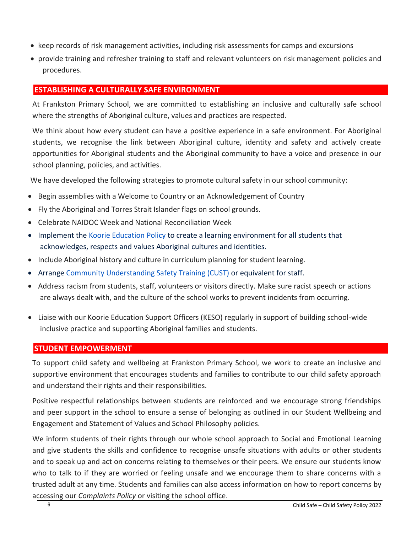- keep records of risk management activities, including risk assessments for camps and excursions
- provide training and refresher training to staff and relevant volunteers on risk management policies and procedures.

# **ESTABLISHING A CULTURALLY SAFE ENVIRONMENT**

At Frankston Primary School, we are committed to establishing an inclusive and culturally safe school where the strengths of Aboriginal culture, values and practices are respected.

We think about how every student can have a positive experience in a safe environment. For Aboriginal students, we recognise the link between Aboriginal culture, identity and safety and actively create opportunities for Aboriginal students and the Aboriginal community to have a voice and presence in our school planning, policies, and activities.

We have developed the following strategies to promote cultural safety in our school community:

- Begin assemblies with a Welcome to Country or an Acknowledgement of Country
- Fly the Aboriginal and Torres Strait Islander flags on school grounds.
- Celebrate NAIDOC Week and National Reconciliation Week
- Implement the [Koorie Education](https://www2.education.vic.gov.au/pal/koorie-education/policy) Policy to create a learning environment for all students that acknowledges, respects and values Aboriginal cultures and identities.
- Include Aboriginal history and culture in curriculum planning for student learning.
- Arrange [Community Understanding Safety Training](https://www.vaeai.org.au/community-understanding-safety-training-online-information-session/) (CUST) or equivalent for staff.
- Address racism from students, staff, volunteers or visitors directly. Make sure racist speech or actions are always dealt with, and the culture of the school works to prevent incidents from occurring.
- Liaise with our Koorie Education Support Officers (KESO) regularly in support of building school-wide inclusive practice and supporting Aboriginal families and students.

#### **STUDENT EMPOWERMENT**

To support child safety and wellbeing at Frankston Primary School, we work to create an inclusive and supportive environment that encourages students and families to contribute to our child safety approach and understand their rights and their responsibilities.

Positive respectful relationships between students are reinforced and we encourage strong friendships and peer support in the school to ensure a sense of belonging as outlined in our Student Wellbeing and Engagement and Statement of Values and School Philosophy policies.

We inform students of their rights through our whole school approach to Social and Emotional Learning and give students the skills and confidence to recognise unsafe situations with adults or other students and to speak up and act on concerns relating to themselves or their peers. We ensure our students know who to talk to if they are worried or feeling unsafe and we encourage them to share concerns with a trusted adult at any time. Students and families can also access information on how to report concerns by accessing our *Complaints Policy* or visiting the school office.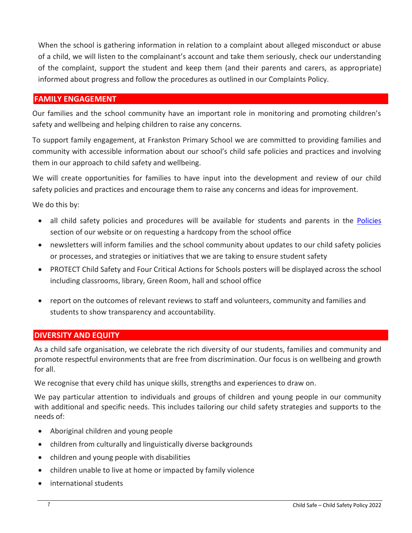When the school is gathering information in relation to a complaint about alleged misconduct or abuse of a child, we will listen to the complainant's account and take them seriously, check our understanding of the complaint, support the student and keep them (and their parents and carers, as appropriate) informed about progress and follow the procedures as outlined in our Complaints Policy.

#### **FAMILY ENGAGEMENT**

Our families and the school community have an important role in monitoring and promoting children's safety and wellbeing and helping children to raise any concerns.

To support family engagement, at Frankston Primary School we are committed to providing families and community with accessible information about our school's child safe policies and practices and involving them in our approach to child safety and wellbeing.

We will create opportunities for families to have input into the development and review of our child safety policies and practices and encourage them to raise any concerns and ideas for improvement.

We do this by:

- all child safety policies and procedures will be available for students and parents in the [Policies](https://frankstonps.vic.edu.au/our-school/policies/) section of our website or on requesting a hardcopy from the school office
- newsletters will inform families and the school community about updates to our child safety policies or processes, and strategies or initiatives that we are taking to ensure student safety
- PROTECT Child Safety and Four Critical Actions for Schools posters will be displayed across the school including classrooms, library, Green Room, hall and school office
- report on the outcomes of relevant reviews to staff and volunteers, community and families and students to show transparency and accountability.

## **DIVERSITY AND EQUITY**

As a child safe organisation, we celebrate the rich diversity of our students, families and community and promote respectful environments that are free from discrimination. Our focus is on wellbeing and growth for all.

We recognise that every child has unique skills, strengths and experiences to draw on.

We pay particular attention to individuals and groups of children and young people in our community with additional and specific needs. This includes tailoring our child safety strategies and supports to the needs of:

- Aboriginal children and young people
- children from culturally and linguistically diverse backgrounds
- children and young people with disabilities
- children unable to live at home or impacted by family violence
- international students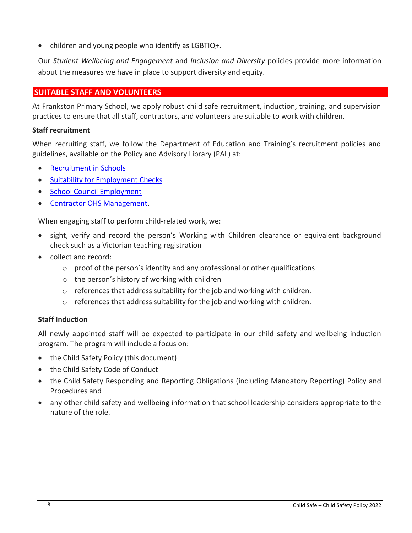• children and young people who identify as  $LGETIQ+$ .

Our *Student Wellbeing and Engagement* and *Inclusion and Diversity* policies provide more information about the measures we have in place to support diversity and equity.

# **SUITABLE STAFF AND VOLUNTEERS**

At Frankston Primary School, we apply robust child safe recruitment, induction, training, and supervision practices to ensure that all staff, contractors, and volunteers are suitable to work with children.

#### **Staff recruitment**

When recruiting staff, we follow the Department of Education and Training's recruitment policies and guidelines, available on the Policy and Advisory Library (PAL) at:

- [Recruitment in Schools](https://www2.education.vic.gov.au/pal/recruitment-schools/overview)
- [Suitability for Employment Checks](https://www2.education.vic.gov.au/pal/suitability-employment-checks/overview)
- [School Council Employment](https://www2.education.vic.gov.au/pal/school-council-employment/overview)
- [Contractor OHS Management.](https://www2.education.vic.gov.au/pal/contractor-ohs-management/policy)

When engaging staff to perform child-related work, we:

- sight, verify and record the person's Working with Children clearance or equivalent background check such as a Victorian teaching registration
- collect and record:
	- $\circ$  proof of the person's identity and any professional or other qualifications
	- o the person's history of working with children
	- o references that address suitability for the job and working with children.
	- $\circ$  references that address suitability for the job and working with children.

## **Staff Induction**

All newly appointed staff will be expected to participate in our child safety and wellbeing induction program. The program will include a focus on:

- the Child Safety Policy (this document)
- the Child Safety Code of Conduct
- the Child Safety Responding and Reporting Obligations (including Mandatory Reporting) Policy and Procedures and
- any other child safety and wellbeing information that school leadership considers appropriate to the nature of the role.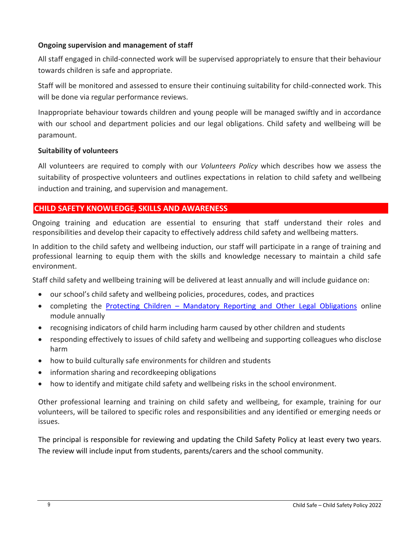## **Ongoing supervision and management of staff**

All staff engaged in child-connected work will be supervised appropriately to ensure that their behaviour towards children is safe and appropriate.

Staff will be monitored and assessed to ensure their continuing suitability for child-connected work. This will be done via regular performance reviews.

Inappropriate behaviour towards children and young people will be managed swiftly and in accordance with our school and department policies and our legal obligations. Child safety and wellbeing will be paramount.

#### **Suitability of volunteers**

All volunteers are required to comply with our *Volunteers Policy* which describes how we assess the suitability of prospective volunteers and outlines expectations in relation to child safety and wellbeing induction and training, and supervision and management.

# **CHILD SAFETY KNOWLEDGE, SKILLS AND AWARENESS**

Ongoing training and education are essential to ensuring that staff understand their roles and responsibilities and develop their capacity to effectively address child safety and wellbeing matters.

In addition to the child safety and wellbeing induction, our staff will participate in a range of training and professional learning to equip them with the skills and knowledge necessary to maintain a child safe environment.

Staff child safety and wellbeing training will be delivered at least annually and will include guidance on:

- our school's child safety and wellbeing policies, procedures, codes, and practices
- completing the Protecting Children [Mandatory Reporting and Other Legal Obligations](http://elearn.com.au/det/protectingchildren/) online module annually
- recognising indicators of child harm including harm caused by other children and students
- responding effectively to issues of child safety and wellbeing and supporting colleagues who disclose harm
- how to build culturally safe environments for children and students
- information sharing and recordkeeping obligations
- how to identify and mitigate child safety and wellbeing risks in the school environment.

Other professional learning and training on child safety and wellbeing, for example, training for our volunteers, will be tailored to specific roles and responsibilities and any identified or emerging needs or issues.

The principal is responsible for reviewing and updating the Child Safety Policy at least every two years. The review will include input from students, parents/carers and the school community.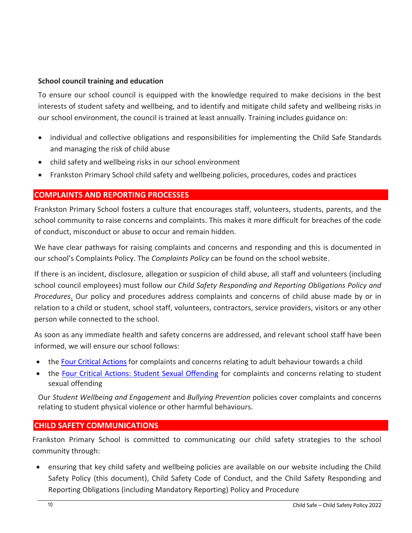## **School council training and education**

To ensure our school council is equipped with the knowledge required to make decisions in the best interests of student safety and wellbeing, and to identify and mitigate child safety and wellbeing risks in our school environment, the council is trained at least annually. Training includes guidance on:

- individual and collective obligations and responsibilities for implementing the Child Safe Standards and managing the risk of child abuse
- child safety and wellbeing risks in our school environment
- Frankston Primary School child safety and wellbeing policies, procedures, codes and practices

# **COMPLAINTS AND REPORTING PROCESSES**

Frankston Primary School fosters a culture that encourages staff, volunteers, students, parents, and the school community to raise concerns and complaints. This makes it more difficult for breaches of the code of conduct, misconduct or abuse to occur and remain hidden.

We have clear pathways for raising complaints and concerns and responding and this is documented in our school's Complaints Policy. The *Complaints Policy* can be found on the school website.

If there is an incident, disclosure, allegation or suspicion of child abuse, all staff and volunteers (including school council employees) must follow our *Child Safety Responding and Reporting Obligations Policy and Procedures*. Our policy and procedures address complaints and concerns of child abuse made by or in relation to a child or student, school staff, volunteers, contractors, service providers, visitors or any other person while connected to the school.

As soon as any immediate health and safety concerns are addressed, and relevant school staff have been informed, we will ensure our school follows:

- the [Four Critical Actions](https://www.education.vic.gov.au/Documents/about/programs/health/protect/FourCriticalActions_ChildAbuse.pdf) for complaints and concerns relating to adult behaviour towards a child
- the [Four Critical Actions: Student Sexual Offending](https://www.education.vic.gov.au/school/teachers/health/childprotection/Pages/stusexual.aspx) for complaints and concerns relating to student sexual offending

Our *Student Wellbeing and Engagement* and *Bullying Prevention* policies cover complaints and concerns relating to student physical violence or other harmful behaviours.

# **CHILD SAFETY COMMUNICATIONS**

Frankston Primary School is committed to communicating our child safety strategies to the school community through:

 ensuring that key child safety and wellbeing policies are available on our website including the Child Safety Policy (this document), Child Safety Code of Conduct, and the Child Safety Responding and Reporting Obligations (including Mandatory Reporting) Policy and Procedure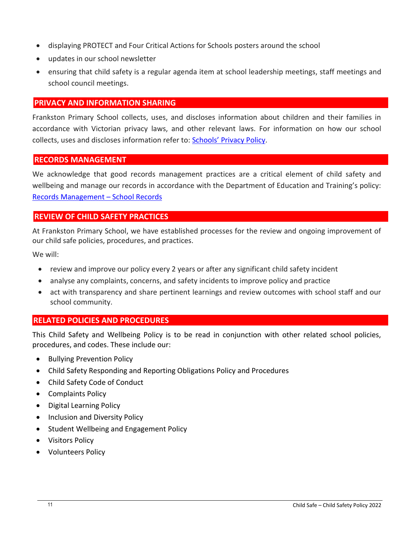- displaying PROTECT and Four Critical Actions for Schools posters around the school
- updates in our school newsletter
- ensuring that child safety is a regular agenda item at school leadership meetings, staff meetings and school council meetings.

# **PRIVACY AND INFORMATION SHARING**

Frankston Primary School collects, uses, and discloses information about children and their families in accordance with Victorian privacy laws, and other relevant laws. For information on how our school collects, uses and discloses information refer to: [Schools' Privacy Policy](https://www.education.vic.gov.au/Pages/schoolsprivacypolicy.aspx).

#### **RECORDS MANAGEMENT**

We acknowledge that good records management practices are a critical element of child safety and wellbeing and manage our records in accordance with the Department of Education and Training's policy: [Records Management](https://www2.education.vic.gov.au/pal/records-management/policy) – School Records

# **REVIEW OF CHILD SAFETY PRACTICES**

At Frankston Primary School, we have established processes for the review and ongoing improvement of our child safe policies, procedures, and practices.

We will:

- review and improve our policy every 2 years or after any significant child safety incident
- analyse any complaints, concerns, and safety incidents to improve policy and practice
- act with transparency and share pertinent learnings and review outcomes with school staff and our school community.

## **RELATED POLICIES AND PROCEDURES**

This Child Safety and Wellbeing Policy is to be read in conjunction with other related school policies, procedures, and codes. These include our:

- Bullying Prevention Policy
- Child Safety Responding and Reporting Obligations Policy and Procedures
- Child Safety Code of Conduct
- Complaints Policy
- Digital Learning Policy
- Inclusion and Diversity Policy
- **•** Student Wellbeing and Engagement Policy
- Visitors Policy
- Volunteers Policy